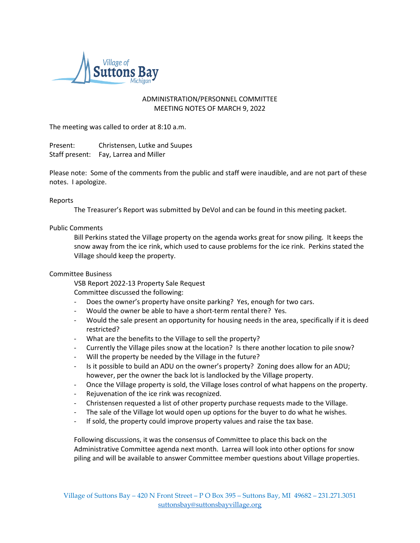

## ADMINISTRATION/PERSONNEL COMMITTEE MEETING NOTES OF MARCH 9, 2022

The meeting was called to order at 8:10 a.m.

Present: Christensen, Lutke and Suupes Staff present: Fay, Larrea and Miller

Please note: Some of the comments from the public and staff were inaudible, and are not part of these notes. I apologize.

## Reports

The Treasurer's Report was submitted by DeVol and can be found in this meeting packet.

## Public Comments

Bill Perkins stated the Village property on the agenda works great for snow piling. It keeps the snow away from the ice rink, which used to cause problems for the ice rink. Perkins stated the Village should keep the property.

## Committee Business

VSB Report 2022-13 Property Sale Request Committee discussed the following:

- Does the owner's property have onsite parking? Yes, enough for two cars.
- Would the owner be able to have a short-term rental there? Yes.
- Would the sale present an opportunity for housing needs in the area, specifically if it is deed restricted?
- What are the benefits to the Village to sell the property?
- Currently the Village piles snow at the location? Is there another location to pile snow?
- Will the property be needed by the Village in the future?
- Is it possible to build an ADU on the owner's property? Zoning does allow for an ADU; however, per the owner the back lot is landlocked by the Village property.
- Once the Village property is sold, the Village loses control of what happens on the property.
- Rejuvenation of the ice rink was recognized.
- Christensen requested a list of other property purchase requests made to the Village.
- The sale of the Village lot would open up options for the buyer to do what he wishes.
- If sold, the property could improve property values and raise the tax base.

Following discussions, it was the consensus of Committee to place this back on the Administrative Committee agenda next month. Larrea will look into other options for snow piling and will be available to answer Committee member questions about Village properties.